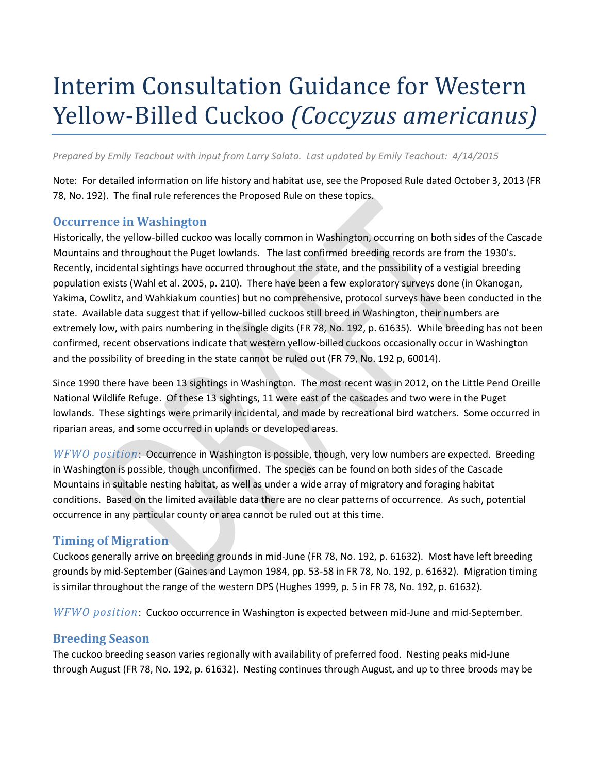# Interim Consultation Guidance for Western Yellow-Billed Cuckoo *(Coccyzus americanus)*

*Prepared by Emily Teachout with input from Larry Salata. Last updated by Emily Teachout: 4/14/2015*

Note: For detailed information on life history and habitat use, see the Proposed Rule dated October 3, 2013 (FR 78, No. 192). The final rule references the Proposed Rule on these topics.

#### **Occurrence in Washington**

Historically, the yellow-billed cuckoo was locally common in Washington, occurring on both sides of the Cascade Mountains and throughout the Puget lowlands. The last confirmed breeding records are from the 1930's. Recently, incidental sightings have occurred throughout the state, and the possibility of a vestigial breeding population exists (Wahl et al. 2005, p. 210). There have been a few exploratory surveys done (in Okanogan, Yakima, Cowlitz, and Wahkiakum counties) but no comprehensive, protocol surveys have been conducted in the state. Available data suggest that if yellow-billed cuckoos still breed in Washington, their numbers are extremely low, with pairs numbering in the single digits (FR 78, No. 192, p. 61635). While breeding has not been confirmed, recent observations indicate that western yellow-billed cuckoos occasionally occur in Washington and the possibility of breeding in the state cannot be ruled out (FR 79, No. 192 p, 60014).

Since 1990 there have been 13 sightings in Washington. The most recent was in 2012, on the Little Pend Oreille National Wildlife Refuge. Of these 13 sightings, 11 were east of the cascades and two were in the Puget lowlands. These sightings were primarily incidental, and made by recreational bird watchers. Some occurred in riparian areas, and some occurred in uplands or developed areas.

*WFWO position*: Occurrence in Washington is possible, though, very low numbers are expected. Breeding in Washington is possible, though unconfirmed. The species can be found on both sides of the Cascade Mountains in suitable nesting habitat, as well as under a wide array of migratory and foraging habitat conditions. Based on the limited available data there are no clear patterns of occurrence. As such, potential occurrence in any particular county or area cannot be ruled out at this time.

#### **Timing of Migration**

Cuckoos generally arrive on breeding grounds in mid-June (FR 78, No. 192, p. 61632). Most have left breeding grounds by mid-September (Gaines and Laymon 1984, pp. 53-58 in FR 78, No. 192, p. 61632). Migration timing is similar throughout the range of the western DPS (Hughes 1999, p. 5 in FR 78, No. 192, p. 61632).

*WFWO position*: Cuckoo occurrence in Washington is expected between mid-June and mid-September.

#### **Breeding Season**

The cuckoo breeding season varies regionally with availability of preferred food. Nesting peaks mid-June through August (FR 78, No. 192, p. 61632). Nesting continues through August, and up to three broods may be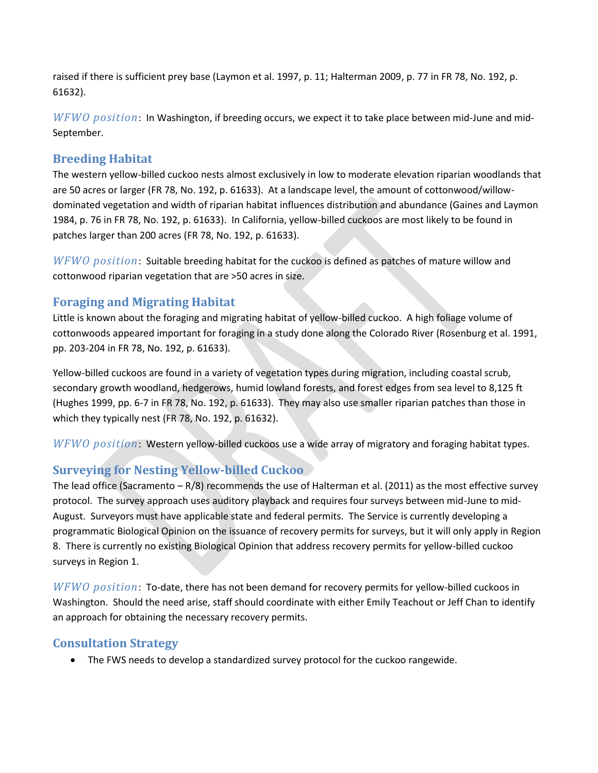raised if there is sufficient prey base (Laymon et al. 1997, p. 11; Halterman 2009, p. 77 in FR 78, No. 192, p. 61632).

*WFWO position*: In Washington, if breeding occurs, we expect it to take place between mid-June and mid-September.

### **Breeding Habitat**

The western yellow-billed cuckoo nests almost exclusively in low to moderate elevation riparian woodlands that are 50 acres or larger (FR 78, No. 192, p. 61633). At a landscape level, the amount of cottonwood/willowdominated vegetation and width of riparian habitat influences distribution and abundance (Gaines and Laymon 1984, p. 76 in FR 78, No. 192, p. 61633). In California, yellow-billed cuckoos are most likely to be found in patches larger than 200 acres (FR 78, No. 192, p. 61633).

*WFWO position*: Suitable breeding habitat for the cuckoo is defined as patches of mature willow and cottonwood riparian vegetation that are >50 acres in size.

## **Foraging and Migrating Habitat**

Little is known about the foraging and migrating habitat of yellow-billed cuckoo. A high foliage volume of cottonwoods appeared important for foraging in a study done along the Colorado River (Rosenburg et al. 1991, pp. 203-204 in FR 78, No. 192, p. 61633).

Yellow-billed cuckoos are found in a variety of vegetation types during migration, including coastal scrub, secondary growth woodland, hedgerows, humid lowland forests, and forest edges from sea level to 8,125 ft (Hughes 1999, pp. 6-7 in FR 78, No. 192, p. 61633). They may also use smaller riparian patches than those in which they typically nest (FR 78, No. 192, p. 61632).

*WFWO position*: Western yellow-billed cuckoos use a wide array of migratory and foraging habitat types.

## **Surveying for Nesting Yellow-billed Cuckoo**

The lead office (Sacramento – R/8) recommends the use of Halterman et al. (2011) as the most effective survey protocol. The survey approach uses auditory playback and requires four surveys between mid-June to mid-August. Surveyors must have applicable state and federal permits. The Service is currently developing a programmatic Biological Opinion on the issuance of recovery permits for surveys, but it will only apply in Region 8. There is currently no existing Biological Opinion that address recovery permits for yellow-billed cuckoo surveys in Region 1.

*WFWO position*: To-date, there has not been demand for recovery permits for yellow-billed cuckoos in Washington. Should the need arise, staff should coordinate with either Emily Teachout or Jeff Chan to identify an approach for obtaining the necessary recovery permits.

#### **Consultation Strategy**

The FWS needs to develop a standardized survey protocol for the cuckoo rangewide.